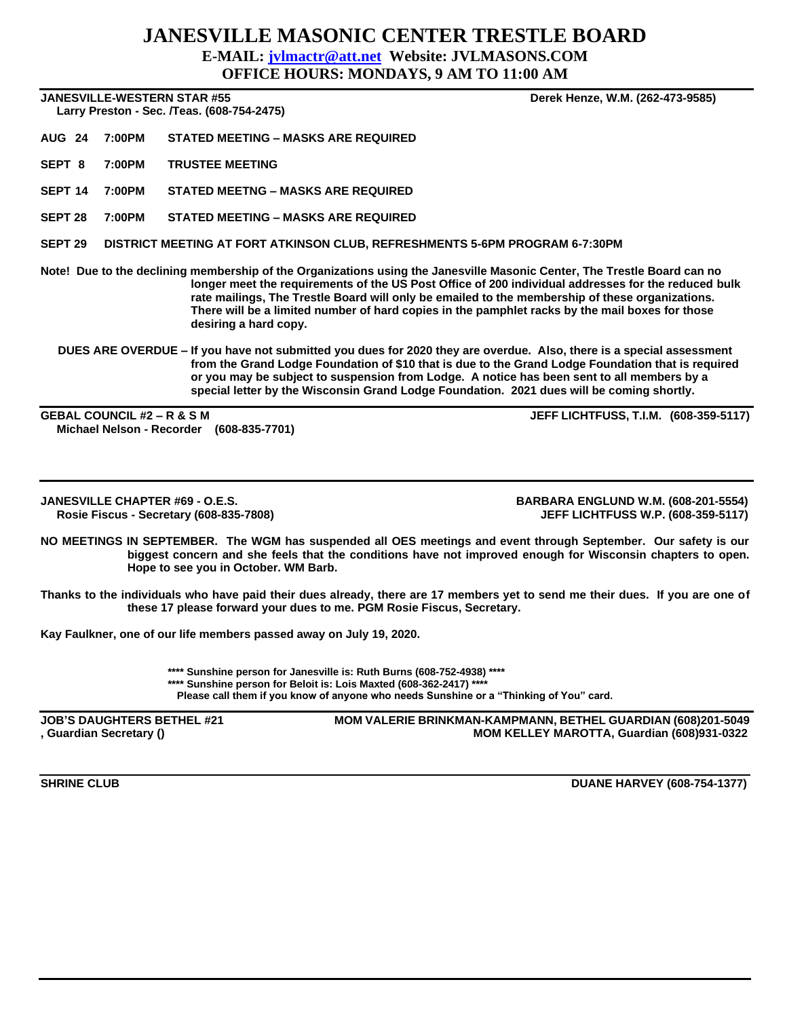## **JANESVILLE MASONIC CENTER TRESTLE BOARD E-MAIL: [jvlmactr@att.net](mailto:jvlmactr@att.net) Website: JVLMASONS.COM**

**OFFICE HOURS: MONDAYS, 9 AM TO 11:00 AM**

**JANESVILLE-WESTERN STAR #55 Derek Henze, W.M. (262-473-9585)**

 **Larry Preston - Sec. /Teas. (608-754-2475)** 

**AUG 24 7:00PM STATED MEETING – MASKS ARE REQUIRED**

**SEPT 8 7:00PM TRUSTEE MEETING**

**SEPT 14 7:00PM STATED MEETNG – MASKS ARE REQUIRED**

**SEPT 28 7:00PM STATED MEETING – MASKS ARE REQUIRED**

**SEPT 29 DISTRICT MEETING AT FORT ATKINSON CLUB, REFRESHMENTS 5-6PM PROGRAM 6-7:30PM**

**Note! Due to the declining membership of the Organizations using the Janesville Masonic Center, The Trestle Board can no longer meet the requirements of the US Post Office of 200 individual addresses for the reduced bulk rate mailings, The Trestle Board will only be emailed to the membership of these organizations. There will be a limited number of hard copies in the pamphlet racks by the mail boxes for those desiring a hard copy.**

### **DUES ARE OVERDUE – If you have not submitted you dues for 2020 they are overdue. Also, there is a special assessment from the Grand Lodge Foundation of \$10 that is due to the Grand Lodge Foundation that is required or you may be subject to suspension from Lodge. A notice has been sent to all members by a special letter by the Wisconsin Grand Lodge Foundation. 2021 dues will be coming shortly.**

**GEBAL COUNCIL #2 – R & S M JEFF LICHTFUSS, T.I.M. (608-359-5117) Michael Nelson - Recorder (608-835-7701)**

**JANESVILLE CHAPTER #69 - O.E.S. BARBARA ENGLUND W.M. (608-201-5554) Rosie Fiscus - Secretary (608-835-7808)** 

**NO MEETINGS IN SEPTEMBER. The WGM has suspended all OES meetings and event through September. Our safety is our biggest concern and she feels that the conditions have not improved enough for Wisconsin chapters to open. Hope to see you in October. WM Barb.**

**Thanks to the individuals who have paid their dues already, there are 17 members yet to send me their dues. If you are one of these 17 please forward your dues to me. PGM Rosie Fiscus, Secretary.**

**Kay Faulkner, one of our life members passed away on July 19, 2020.**

**\*\*\*\* Sunshine person for Janesville is: Ruth Burns (608-752-4938) \*\*\*\* \*\*\*\* Sunshine person for Beloit is: Lois Maxted (608-362-2417) \*\*\*\* Please call them if you know of anyone who needs Sunshine or a "Thinking of You" card.**

**JOB'S DAUGHTERS BETHEL #21 MOM VALERIE BRINKMAN-KAMPMANN, BETHEL GUARDIAN (608)201-5049 , Guardian Secretary () MOM KELLEY MAROTTA, Guardian (608)931-0322**

**SHRINE CLUB CLUB CLUB CLUB**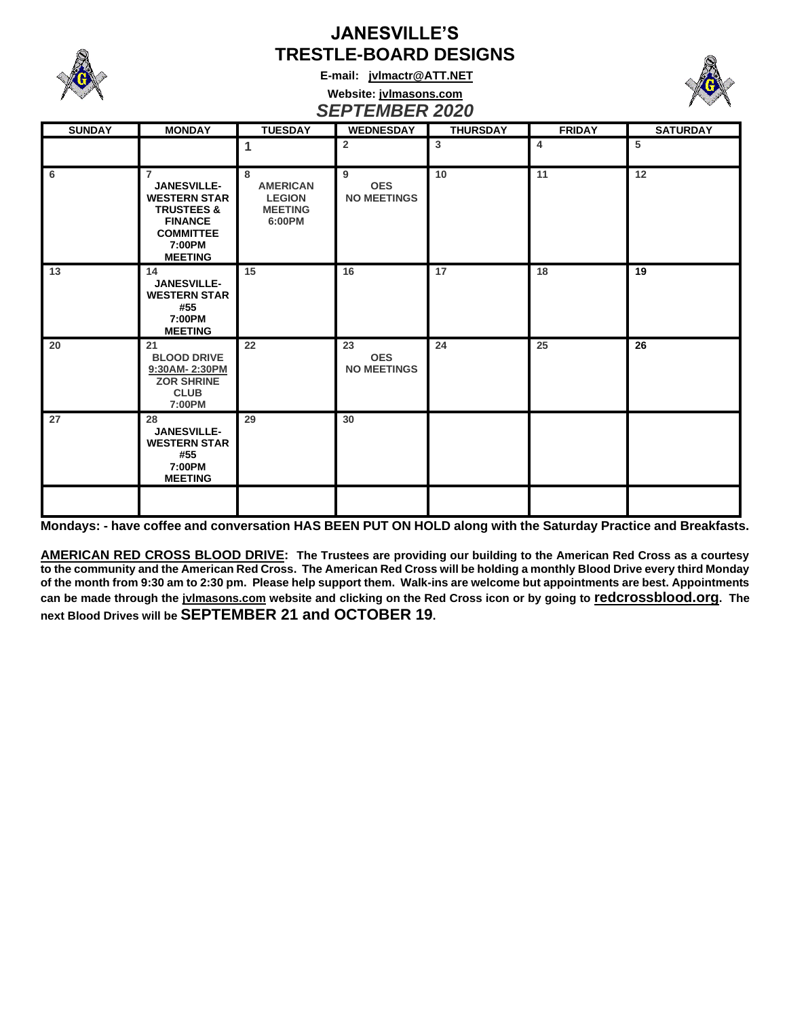

# **JANESVILLE'S TRESTLE-BOARD DESIGNS**

**E-mail: [jvlmactr@ATT.NET](mailto:jvlmactr@ATT.NET)**

### **Website: jvlmasons.com** *SEPTEMBER 2020*

| <b>SUNDAY</b> | <b>MONDAY</b>                                                                                                                                          | <b>TUESDAY</b>                                                    | <b>WEDNESDAY</b>                       | <b>THURSDAY</b> | <b>FRIDAY</b> | <b>SATURDAY</b> |
|---------------|--------------------------------------------------------------------------------------------------------------------------------------------------------|-------------------------------------------------------------------|----------------------------------------|-----------------|---------------|-----------------|
|               |                                                                                                                                                        | 1                                                                 | $\overline{2}$                         | $\mathbf{3}$    | 4             | 5               |
| 6             | $\overline{7}$<br><b>JANESVILLE-</b><br><b>WESTERN STAR</b><br><b>TRUSTEES &amp;</b><br><b>FINANCE</b><br><b>COMMITTEE</b><br>7:00PM<br><b>MEETING</b> | 8<br><b>AMERICAN</b><br><b>LEGION</b><br><b>MEETING</b><br>6:00PM | 9<br><b>OES</b><br><b>NO MEETINGS</b>  | 10              | 11            | 12              |
| 13            | 14<br><b>JANESVILLE-</b><br><b>WESTERN STAR</b><br>#55<br>7:00PM<br><b>MEETING</b>                                                                     | 15                                                                | 16                                     | 17              | 18            | 19              |
| 20            | 21<br><b>BLOOD DRIVE</b><br>9:30AM-2:30PM<br><b>ZOR SHRINE</b><br><b>CLUB</b><br>7:00PM                                                                | 22                                                                | 23<br><b>OES</b><br><b>NO MEETINGS</b> | 24              | 25            | 26              |
| 27            | 28<br><b>JANESVILLE-</b><br><b>WESTERN STAR</b><br>#55<br>7:00PM<br><b>MEETING</b>                                                                     | 29                                                                | 30                                     |                 |               |                 |
|               |                                                                                                                                                        |                                                                   |                                        |                 |               |                 |

**Mondays: - have coffee and conversation HAS BEEN PUT ON HOLD along with the Saturday Practice and Breakfasts.**

**AMERICAN RED CROSS BLOOD DRIVE: The Trustees are providing our building to the American Red Cross as a courtesy to the community and the American Red Cross. The American Red Cross will be holding a monthly Blood Drive every third Monday of the month from 9:30 am to 2:30 pm. Please help support them. Walk-ins are welcome but appointments are best. Appointments can be made through the jvlmasons.com website and clicking on the Red Cross icon or by going to redcrossblood.org. The next Blood Drives will be SEPTEMBER 21 and OCTOBER 19.**